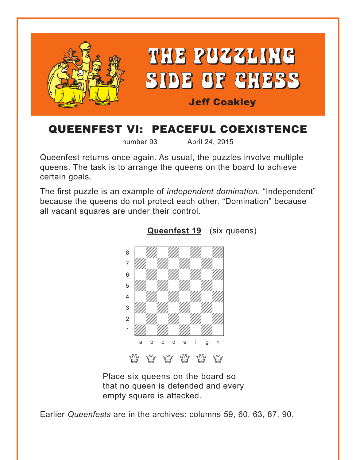<span id="page-0-0"></span>

# QUEENFEST VI: PEACEFUL COEXISTENCE

number 93 April 24, 2015

Queenfest returns once again. As usual, the puzzles involve multiple queens. The task is to arrange the queens on the board to achieve certain goals.

The first puzzle is an example of *independent domination*. "Independent" because the queens do not protect each other. "Domination" because all vacant squares are under their control.





Place six queens on the board so that no queen is defended and every empty square is attacked.

Earlier *Queenfests* are in the archives: columns 59, 60, 63, 87, 90.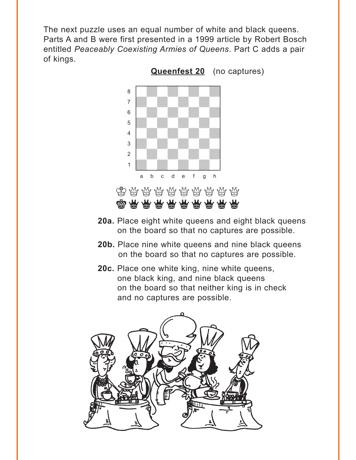<span id="page-1-0"></span>The next puzzle uses an equal number of white and black queens. Parts A and B were first presented in a 1999 article by Robert Bosch entitled *Peaceably Coexisting Armies of Queens*. Part C adds a pair of kings.



**[Queenfest 20](#page-5-0)** (no captures)

 $\bigotimes$   $\bigotimes$   $\bigotimes$   $\bigotimes$   $\bigotimes$   $\bigotimes$   $\bigotimes$   $\bigotimes$   $\bigotimes$   $\bigotimes$   $\bigotimes$   $\bigotimes$   $\bigotimes$   $\bigotimes$   $\bigotimes$   $\bigotimes$   $\bigotimes$   $\bigotimes$   $\bigotimes$   $\bigotimes$   $\bigotimes$   $\bigotimes$   $\bigotimes$   $\bigotimes$   $\bigotimes$   $\bigotimes$   $\bigotimes$   $\bigotimes$   $\bigotimes$   $\bigotimes$   $\bigotimes$   $\bigot$ **@@@@@@@** 

a b c d e f g h

- **20a.** Place eight white queens and eight black queens on the board so that no captures are possible.
- **20b.** Place nine white queens and nine black queens on the board so that no captures are possible.
- **20c.** Place one white king, nine white queens, one black king, and nine black queens on the board so that neither king is in check and no captures are possible.

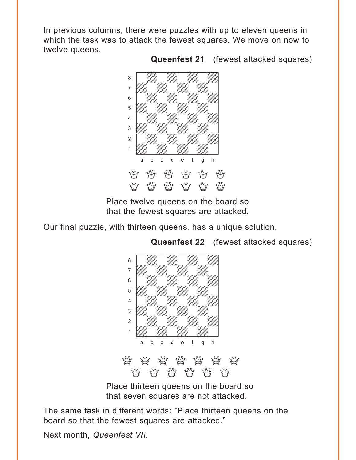<span id="page-2-0"></span>In previous columns, there were puzzles with up to eleven queens in which the task was to attack the fewest squares. We move on now to twelve queens.



Place twelve queens on the board so that the fewest squares are attacked.

Our final puzzle, with thirteen queens, has a unique solution.



**[Queenfest 22](#page-9-0)** (fewest attacked squares)

**[Queenfest 21](#page-7-0)** (fewest attacked squares)

Place thirteen queens on the board so that seven squares are not attacked.

QQQQQQ

The same task in different words: "Place thirteen queens on the board so that the fewest squares are attacked."

Next month, *Queenfest VII*.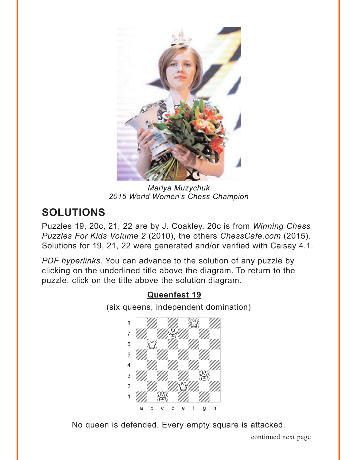<span id="page-3-0"></span>

*Mariya Muzychuk 2015 World Women's Chess Champion*

# **SOLUTIONS**

Puzzles 19, 20c, 21, 22 are by J. Coakley. 20c is from *Winning Chess Puzzles For Kids Volume 2* (2010), the others *ChessCafe.com* (2015). Solutions for 19, 21, 22 were generated and/or verified with Caisay 4.1.

*PDF hyperlinks*. You can advance to the solution of any puzzle by clicking on the underlined title above the diagram. To return to the puzzle, click on the title above the solution diagram.

### **[Queenfest 19](#page-0-0)** (six queens, independent domination)  $\begin{picture}(40,40) \put(0,0){\line(1,0){155}} \put(15,0){\line(1,0){155}} \put(15,0){\line(1,0){155}} \put(15,0){\line(1,0){155}} \put(15,0){\line(1,0){155}} \put(15,0){\line(1,0){155}} \put(15,0){\line(1,0){155}} \put(15,0){\line(1,0){155}} \put(15,0){\line(1,0){155}} \put(15,0){\line(1,0){155}} \put(15,0){\line(1,0){155}} \$ the Company of the Company of the Company of the Company of the Company of the Company of the Company of the Company of the Company of the Company of the Company of the Company of the Company of the Company of the Company  $\begin{bmatrix} 6 & 1 \ 1 & 1 \end{bmatrix}$ **b** William William William Company of the William Company of the William Company of the William Company of the William Company of the Company of the Company of the Company of the Company of the Company of the Company of t 4 William William William William  $\frac{1}{\sqrt{2}}$ 2 | *William William William William William William William William William William William William William William William William William William William William William William William William William William William W*  $\frac{1}{\sqrt{2}}$ a b c d e f g h

No queen is defended. Every empty square is attacked.

continued next page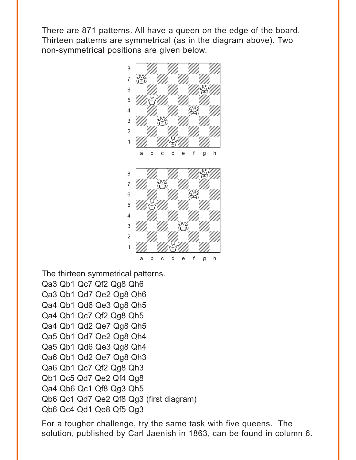There are 871 patterns. All have a queen on the edge of the board. Thirteen patterns are symmetrical (as in the diagram above). Two non-symmetrical positions are given below.



The thirteen symmetrical patterns. Qa3 Qb1 Qc7 Qf2 Qg8 Qh6 Qa3 Qb1 Qd7 Qe2 Qg8 Qh6 Qa4 Qb1 Qd6 Qe3 Qg8 Qh5 Qa4 Qb1 Qc7 Qf2 Qg8 Qh5 Qa4 Qb1 Qd2 Qe7 Qg8 Qh5 Qa5 Qb1 Qd7 Qe2 Qg8 Qh4 Qa5 Qb1 Qd6 Qe3 Qg8 Qh4 Qa6 Qb1 Qd2 Qe7 Qg8 Qh3 Qa6 Qb1 Qc7 Qf2 Qg8 Qh3 Qb1 Qc5 Qd7 Qe2 Qf4 Qg8 Qa4 Qb6 Qc1 Qf8 Qg3 Qh5 Qb6 Qc1 Qd7 Qe2 Qf8 Qg3 (first diagram) Qb6 Qc4 Qd1 Qe8 Qf5 Qg3

For a tougher challenge, try the same task with five queens. The solution, published by Carl Jaenish in 1863, can be found in column 6.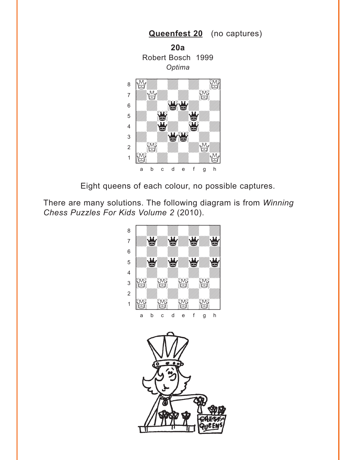<span id="page-5-0"></span>

Eight queens of each colour, no possible captures.

There are many solutions. The following diagram is from Winning Chess Puzzles For Kids Volume 2 (2010).

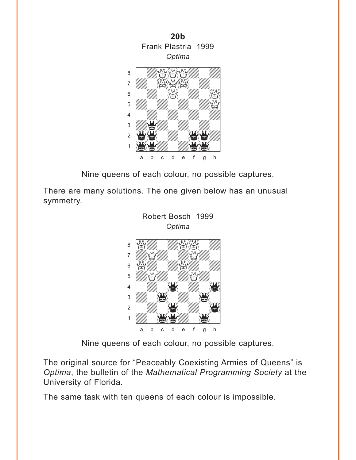

Nine queens of each colour, no possible captures.

There are many solutions. The one given below has an unusual symmetry.



Nine queens of each colour, no possible captures.

The original source for "Peaceably Coexisting Armies of Queens" is *Optima*, the bulletin of the *Mathematical Programming Society* at the University of Florida.

The same task with ten queens of each colour is impossible.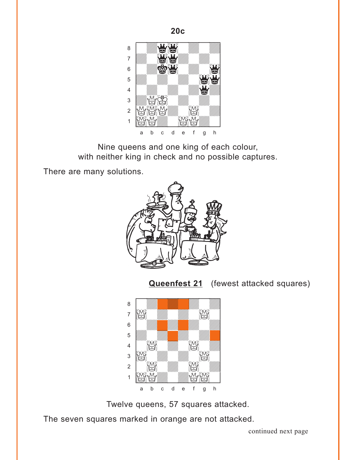<span id="page-7-0"></span>

 $20c$ 

Nine queens and one king of each colour, with neither king in check and no possible captures.

There are many solutions.



**Queenfest 21** (fewest attacked squares)



Twelve queens, 57 squares attacked.

The seven squares marked in orange are not attacked.

continued next page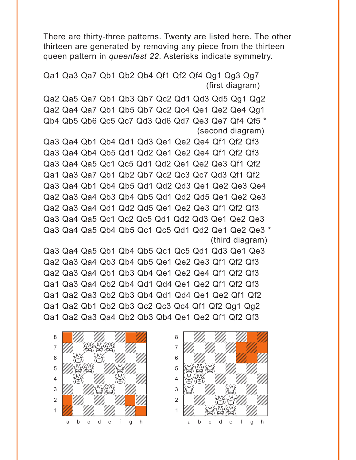There are thirty-three patterns. Twenty are listed here. The other thirteen are generated by removing any piece from the thirteen queen pattern in *queenfest 22*. Asterisks indicate symmetry.

Qa1 Qa3 Qa7 Qb1 Qb2 Qb4 Qf1 Qf2 Qf4 Qg1 Qg3 Qg7 (first diagram)

Qa2 Qa5 Qa7 Qb1 Qb3 Qb7 Qc2 Qd1 Qd3 Qd5 Qg1 Qg2 Qa2 Qa4 Qa7 Qb1 Qb5 Qb7 Qc2 Qc4 Qe1 Qe2 Qe4 Qg1 Qb4 Qb5 Qb6 Qc5 Qc7 Qd3 Qd6 Qd7 Qe3 Qe7 Qf4 Qf5 \* (second diagram)

Qa3 Qa4 Qb1 Qb4 Qd1 Qd3 Qe1 Qe2 Qe4 Qf1 Qf2 Qf3 Qa3 Qa4 Qb4 Qb5 Qd1 Qd2 Qe1 Qe2 Qe4 Qf1 Qf2 Qf3 Qa3 Qa4 Qa5 Qc1 Qc5 Qd1 Qd2 Qe1 Qe2 Qe3 Qf1 Qf2 Qa1 Qa3 Qa7 Qb1 Qb2 Qb7 Qc2 Qc3 Qc7 Qd3 Qf1 Qf2 Qa3 Qa4 Qb1 Qb4 Qb5 Qd1 Qd2 Qd3 Qe1 Qe2 Qe3 Qe4 Qa2 Qa3 Qa4 Qb3 Qb4 Qb5 Qd1 Qd2 Qd5 Qe1 Qe2 Qe3 Qa2 Qa3 Qa4 Qd1 Qd2 Qd5 Qe1 Qe2 Qe3 Qf1 Qf2 Qf3 Qa3 Qa4 Qa5 Qc1 Qc2 Qc5 Qd1 Qd2 Qd3 Qe1 Qe2 Qe3 Qa3 Qa4 Qa5 Qb4 Qb5 Qc1 Qc5 Qd1 Qd2 Qe1 Qe2 Qe3 \* (third diagram)

Qa3 Qa4 Qa5 Qb1 Qb4 Qb5 Qc1 Qc5 Qd1 Qd3 Qe1 Qe3 Qa2 Qa3 Qa4 Qb3 Qb4 Qb5 Qe1 Qe2 Qe3 Qf1 Qf2 Qf3 Qa2 Qa3 Qa4 Qb1 Qb3 Qb4 Qe1 Qe2 Qe4 Qf1 Qf2 Qf3 Qa1 Qa3 Qa4 Qb2 Qb4 Qd1 Qd4 Qe1 Qe2 Qf1 Qf2 Qf3 Qa1 Qa2 Qa3 Qb2 Qb3 Qb4 Qd1 Qd4 Qe1 Qe2 Qf1 Qf2 Qa1 Qa2 Qb1 Qb2 Qb3 Qc2 Qc3 Qc4 Qf1 Qf2 Qg1 Qg2 Qa1 Qa2 Qa3 Qa4 Qb2 Qb3 Qb4 Qe1 Qe2 Qf1 Qf2 Qf3



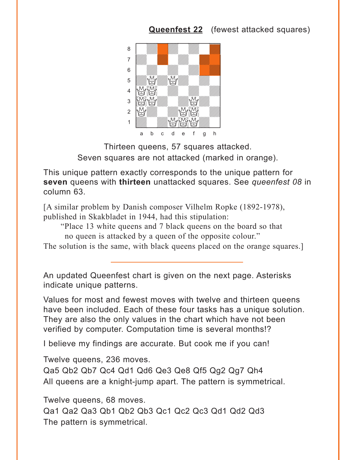### **[Queenfest 22](#page-2-0)** (fewest attacked squares)

<span id="page-9-0"></span>

Thirteen queens, 57 squares attacked. Seven squares are not attacked (marked in orange).

This unique pattern exactly corresponds to the unique pattern for **seven** queens with **thirteen** unattacked squares. See *queenfest 08* in column 63.

[A similar problem by Danish composer Vilhelm Ropke (1892-1978), published in Skakbladet in 1944, had this stipulation:

"Place 13 white queens and 7 black queens on the board so that no queen is attacked by a queen of the opposite colour."

The solution is the same, with black queens placed on the orange squares.

An updated Queenfest chart is given on the next page. Asterisks indicate unique patterns.

Values for most and fewest moves with twelve and thirteen queens have been included. Each of these four tasks has a unique solution. They are also the only values in the chart which have not been verified by computer. Computation time is several months!?

I believe my findings are accurate. But cook me if you can!

Twelve queens, 236 moves.

Qa5 Qb2 Qb7 Qc4 Qd1 Qd6 Qe3 Qe8 Qf5 Qg2 Qg7 Qh4 All queens are a knight-jump apart. The pattern is symmetrical.

Twelve queens, 68 moves.

Qa1 Qa2 Qa3 Qb1 Qb2 Qb3 Qc1 Qc2 Qc3 Qd1 Qd2 Qd3 The pattern is symmetrical.